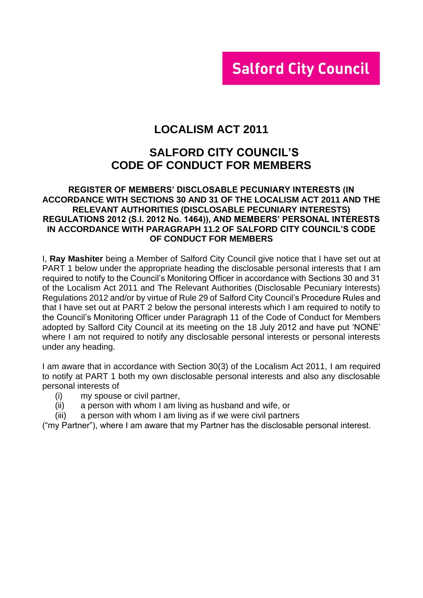# **Salford City Council**

# **LOCALISM ACT 2011**

# **SALFORD CITY COUNCIL'S CODE OF CONDUCT FOR MEMBERS**

#### **REGISTER OF MEMBERS' DISCLOSABLE PECUNIARY INTERESTS (IN ACCORDANCE WITH SECTIONS 30 AND 31 OF THE LOCALISM ACT 2011 AND THE RELEVANT AUTHORITIES (DISCLOSABLE PECUNIARY INTERESTS) REGULATIONS 2012 (S.I. 2012 No. 1464)), AND MEMBERS' PERSONAL INTERESTS IN ACCORDANCE WITH PARAGRAPH 11.2 OF SALFORD CITY COUNCIL'S CODE OF CONDUCT FOR MEMBERS**

I, **Ray Mashiter** being a Member of Salford City Council give notice that I have set out at PART 1 below under the appropriate heading the disclosable personal interests that I am required to notify to the Council's Monitoring Officer in accordance with Sections 30 and 31 of the Localism Act 2011 and The Relevant Authorities (Disclosable Pecuniary Interests) Regulations 2012 and/or by virtue of Rule 29 of Salford City Council's Procedure Rules and that I have set out at PART 2 below the personal interests which I am required to notify to the Council's Monitoring Officer under Paragraph 11 of the Code of Conduct for Members adopted by Salford City Council at its meeting on the 18 July 2012 and have put 'NONE' where I am not required to notify any disclosable personal interests or personal interests under any heading.

I am aware that in accordance with Section 30(3) of the Localism Act 2011, I am required to notify at PART 1 both my own disclosable personal interests and also any disclosable personal interests of

- (i) my spouse or civil partner,
- (ii) a person with whom I am living as husband and wife, or
- (iii) a person with whom I am living as if we were civil partners

("my Partner"), where I am aware that my Partner has the disclosable personal interest.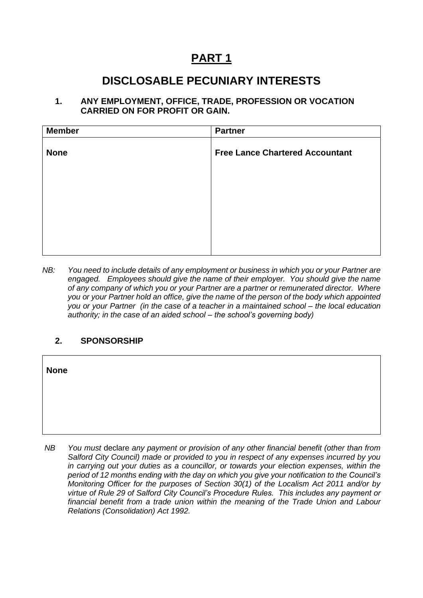# **PART 1**

# **DISCLOSABLE PECUNIARY INTERESTS**

### **1. ANY EMPLOYMENT, OFFICE, TRADE, PROFESSION OR VOCATION CARRIED ON FOR PROFIT OR GAIN.**

| <b>Member</b> | <b>Partner</b>                         |
|---------------|----------------------------------------|
| <b>None</b>   | <b>Free Lance Chartered Accountant</b> |
|               |                                        |
|               |                                        |
|               |                                        |
|               |                                        |

*NB: You need to include details of any employment or business in which you or your Partner are engaged. Employees should give the name of their employer. You should give the name of any company of which you or your Partner are a partner or remunerated director. Where you or your Partner hold an office, give the name of the person of the body which appointed you or your Partner (in the case of a teacher in a maintained school – the local education authority; in the case of an aided school – the school's governing body)*

## **2. SPONSORSHIP**

| <b>None</b> |                                                                                                                                                                                                                                                                                     |  |
|-------------|-------------------------------------------------------------------------------------------------------------------------------------------------------------------------------------------------------------------------------------------------------------------------------------|--|
|             |                                                                                                                                                                                                                                                                                     |  |
|             |                                                                                                                                                                                                                                                                                     |  |
| NB          | You must declare any payment or provision of any other financial benefit (other than from<br>Salford City Council) made or provided to you in respect of any expenses incurred by you<br>in carrying out your duties as a councillor, or towards your election expenses, within the |  |

*in carrying out your duties as a councillor, or towards your election expenses, within the period of 12 months ending with the day on which you give your notification to the Council's Monitoring Officer for the purposes of Section 30(1) of the Localism Act 2011 and/or by virtue of Rule 29 of Salford City Council's Procedure Rules. This includes any payment or financial benefit from a trade union within the meaning of the Trade Union and Labour Relations (Consolidation) Act 1992.*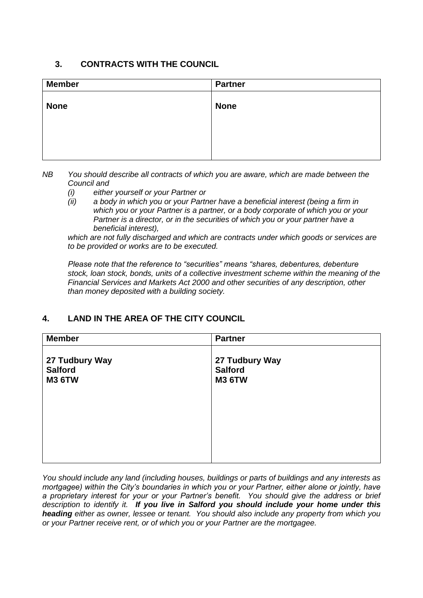## **3. CONTRACTS WITH THE COUNCIL**

| <b>Member</b> | <b>Partner</b> |
|---------------|----------------|
| <b>None</b>   | <b>None</b>    |
|               |                |
|               |                |

- *NB You should describe all contracts of which you are aware, which are made between the Council and* 
	- *(i) either yourself or your Partner or*
	- *(ii) a body in which you or your Partner have a beneficial interest (being a firm in which you or your Partner is a partner, or a body corporate of which you or your Partner is a director, or in the securities of which you or your partner have a beneficial interest),*

*which are not fully discharged and which are contracts under which goods or services are to be provided or works are to be executed.*

*Please note that the reference to "securities" means "shares, debentures, debenture stock, loan stock, bonds, units of a collective investment scheme within the meaning of the Financial Services and Markets Act 2000 and other securities of any description, other than money deposited with a building society.*

# **4. LAND IN THE AREA OF THE CITY COUNCIL**

| <b>Member</b>                                     | <b>Partner</b>                                    |
|---------------------------------------------------|---------------------------------------------------|
| 27 Tudbury Way<br><b>Salford</b><br><b>M3 6TW</b> | 27 Tudbury Way<br><b>Salford</b><br><b>M3 6TW</b> |
|                                                   |                                                   |
|                                                   |                                                   |

*You should include any land (including houses, buildings or parts of buildings and any interests as mortgagee) within the City's boundaries in which you or your Partner, either alone or jointly, have a proprietary interest for your or your Partner's benefit. You should give the address or brief description to identify it. If you live in Salford you should include your home under this heading either as owner, lessee or tenant. You should also include any property from which you or your Partner receive rent, or of which you or your Partner are the mortgagee.*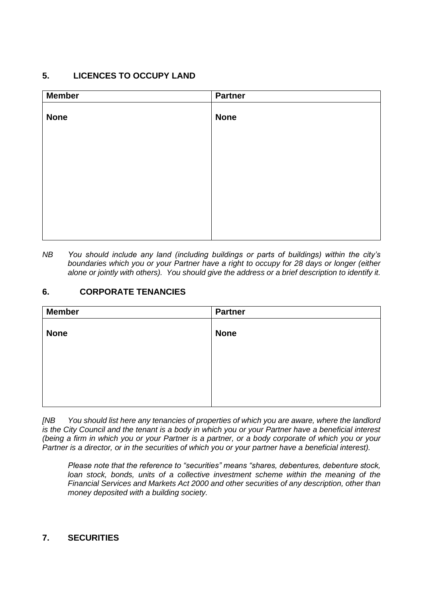# **5. LICENCES TO OCCUPY LAND**

| <b>Member</b> | <b>Partner</b> |
|---------------|----------------|
| <b>None</b>   | <b>None</b>    |
|               |                |
|               |                |
|               |                |
|               |                |
|               |                |
|               |                |
|               |                |
|               |                |
|               |                |

*NB You should include any land (including buildings or parts of buildings) within the city's boundaries which you or your Partner have a right to occupy for 28 days or longer (either alone or jointly with others). You should give the address or a brief description to identify it.*

## **6. CORPORATE TENANCIES**

| <b>Member</b> | <b>Partner</b> |
|---------------|----------------|
| <b>None</b>   | <b>None</b>    |
|               |                |
|               |                |
|               |                |
|               |                |
|               |                |

*[NB You should list here any tenancies of properties of which you are aware, where the landlord is the City Council and the tenant is a body in which you or your Partner have a beneficial interest (being a firm in which you or your Partner is a partner, or a body corporate of which you or your Partner is a director, or in the securities of which you or your partner have a beneficial interest).* 

*Please note that the reference to "securities" means "shares, debentures, debenture stock, loan stock, bonds, units of a collective investment scheme within the meaning of the Financial Services and Markets Act 2000 and other securities of any description, other than money deposited with a building society.*

## **7. SECURITIES**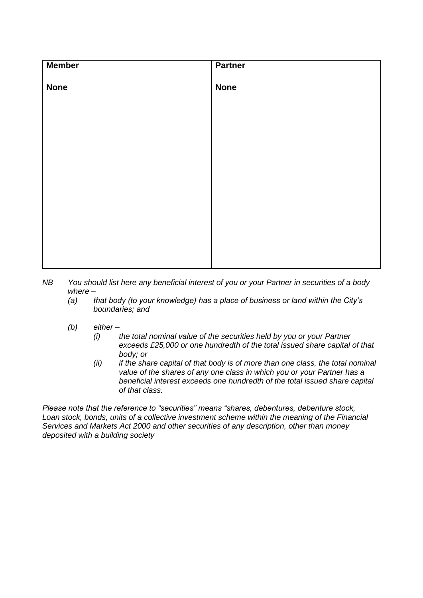| <b>Member</b> | <b>Partner</b> |
|---------------|----------------|
| <b>None</b>   | <b>None</b>    |
|               |                |
|               |                |
|               |                |
|               |                |
|               |                |
|               |                |

- *NB You should list here any beneficial interest of you or your Partner in securities of a body where –*
	- *(a) that body (to your knowledge) has a place of business or land within the City's boundaries; and*
	- *(b) either –*
		- *(i) the total nominal value of the securities held by you or your Partner exceeds £25,000 or one hundredth of the total issued share capital of that body; or*
		- *(ii) if the share capital of that body is of more than one class, the total nominal value of the shares of any one class in which you or your Partner has a beneficial interest exceeds one hundredth of the total issued share capital of that class.*

*Please note that the reference to "securities" means "shares, debentures, debenture stock, Loan stock, bonds, units of a collective investment scheme within the meaning of the Financial Services and Markets Act 2000 and other securities of any description, other than money deposited with a building society*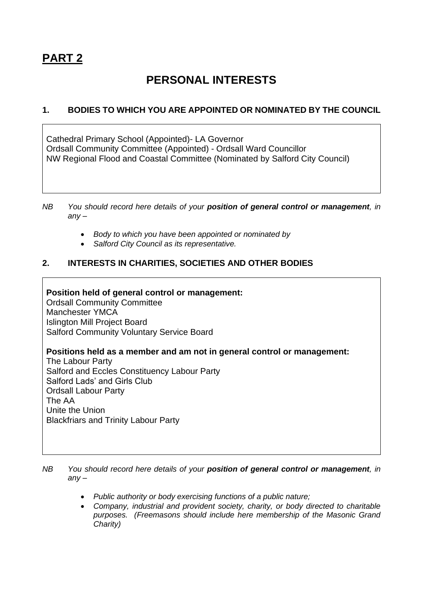# **PART 2**

# **PERSONAL INTERESTS**

# **1. BODIES TO WHICH YOU ARE APPOINTED OR NOMINATED BY THE COUNCIL**

Cathedral Primary School (Appointed)- LA Governor Ordsall Community Committee (Appointed) - Ordsall Ward Councillor NW Regional Flood and Coastal Committee (Nominated by Salford City Council)

- *NB You should record here details of your position of general control or management, in any –*
	- *Body to which you have been appointed or nominated by*
	- *Salford City Council as its representative.*

## **2. INTERESTS IN CHARITIES, SOCIETIES AND OTHER BODIES**

### **Position held of general control or management:**

Ordsall Community Committee Manchester YMCA Islington Mill Project Board Salford Community Voluntary Service Board

### **Positions held as a member and am not in general control or management:**

The Labour Party Salford and Eccles Constituency Labour Party Salford Lads' and Girls Club Ordsall Labour Party The AA Unite the Union Blackfriars and Trinity Labour Party

*NB You should record here details of your position of general control or management, in any –*

- *Public authority or body exercising functions of a public nature;*
- *Company, industrial and provident society, charity, or body directed to charitable purposes. (Freemasons should include here membership of the Masonic Grand Charity)*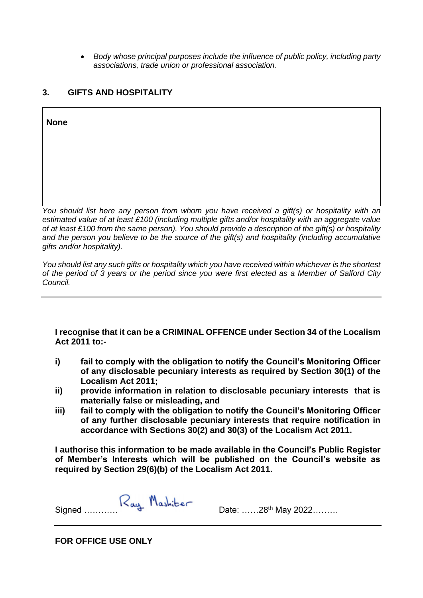• *Body whose principal purposes include the influence of public policy, including party associations, trade union or professional association.*

### **3. GIFTS AND HOSPITALITY**

**None** 

*You should list here any person from whom you have received a gift(s) or hospitality with an estimated value of at least £100 (including multiple gifts and/or hospitality with an aggregate value of at least £100 from the same person). You should provide a description of the gift(s) or hospitality and the person you believe to be the source of the gift(s) and hospitality (including accumulative gifts and/or hospitality).*

*You should list any such gifts or hospitality which you have received within whichever is the shortest of the period of 3 years or the period since you were first elected as a Member of Salford City Council.*

**I recognise that it can be a CRIMINAL OFFENCE under Section 34 of the Localism Act 2011 to:-**

- **i) fail to comply with the obligation to notify the Council's Monitoring Officer of any disclosable pecuniary interests as required by Section 30(1) of the Localism Act 2011;**
- **ii) provide information in relation to disclosable pecuniary interests that is materially false or misleading, and**
- **iii) fail to comply with the obligation to notify the Council's Monitoring Officer of any further disclosable pecuniary interests that require notification in accordance with Sections 30(2) and 30(3) of the Localism Act 2011.**

**I authorise this information to be made available in the Council's Public Register of Member's Interests which will be published on the Council's website as required by Section 29(6)(b) of the Localism Act 2011.** 

Signed ………… <sup>1</sup>

**FOR OFFICE USE ONLY**